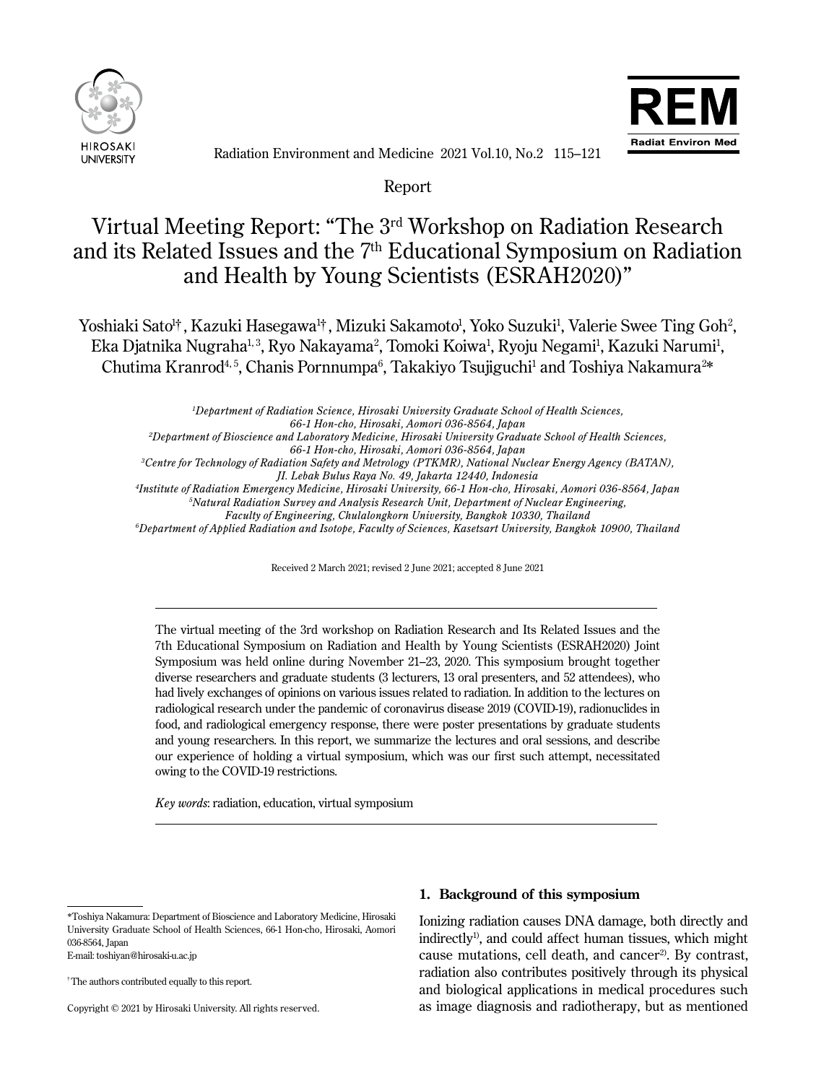



Radiation Environment and Medicine 2021 Vol.10, No.2 115–121

Report

# Virtual Meeting Report: "The 3rd Workshop on Radiation Research and its Related Issues and the 7th Educational Symposium on Radiation and Health by Young Scientists (ESRAH2020)"

Yoshiaki Sato<sup>ı</sup>†, Kazuki Hasegawa<sup>ı</sup>†, Mizuki Sakamoto<sup>ı</sup>, Yoko Suzuki<sup>ı</sup>, Valerie Swee Ting Goh<sup>2</sup>, Eka Djatnika Nugraha<sup>1,3</sup>, Ryo Nakayama<sup>2</sup>, Tomoki Koiwa<sup>1</sup>, Ryoju Negami<sup>1</sup>, Kazuki Narumi<sup>1</sup>, Chutima Kranrod<sup>4, 5</sup>, Chanis Pornnumpa<sup>6</sup>, Takakiyo Tsujiguchi<sup>1</sup> and Toshiya Nakamura<sup>2\*</sup>

*1 Department of Radiation Science, Hirosaki University Graduate School of Health Sciences,*

*66-1 Hon-cho, Hirosaki, Aomori 036-8564, Japan*

*2 Department of Bioscience and Laboratory Medicine, Hirosaki University Graduate School of Health Sciences,*

*66-1 Hon-cho, Hirosaki, Aomori 036-8564, Japan*

*3 Centre for Technology of Radiation Safety and Metrology (PTKMR), National Nuclear Energy Agency (BATAN),*

*JI. Lebak Bulus Raya No. 49, Jakarta 12440, Indonesia*

*4 Institute of Radiation Emergency Medicine, Hirosaki University, 66-1 Hon-cho, Hirosaki, Aomori 036-8564, Japan*

*5 Natural Radiation Survey and Analysis Research Unit, Department of Nuclear Engineering,*

*Faculty of Engineering, Chulalongkorn University, Bangkok 10330, Thailand*

*6 Department of Applied Radiation and Isotope, Faculty of Sciences, Kasetsart University, Bangkok 10900, Thailand*

Received 2 March 2021; revised 2 June 2021; accepted 8 June 2021

The virtual meeting of the 3rd workshop on Radiation Research and Its Related Issues and the 7th Educational Symposium on Radiation and Health by Young Scientists (ESRAH2020) Joint Symposium was held online during November 21–23, 2020. This symposium brought together diverse researchers and graduate students (3 lecturers, 13 oral presenters, and 52 attendees), who had lively exchanges of opinions on various issues related to radiation. In addition to the lectures on radiological research under the pandemic of coronavirus disease 2019 (COVID-19), radionuclides in food, and radiological emergency response, there were poster presentations by graduate students and young researchers. In this report, we summarize the lectures and oral sessions, and describe our experience of holding a virtual symposium, which was our first such attempt, necessitated owing to the COVID-19 restrictions.

*Key words*: radiation, education, virtual symposium

E-mail: toshiyan@hirosaki-u.ac.jp

† The authors contributed equally to this report.

 $\overline{a}$ 

Ī

Copyright © 2021 by Hirosaki University. All rights reserved.

## **1. Background of this symposium**

Ionizing radiation causes DNA damage, both directly and  $indirectly<sup>1</sup>$ , and could affect human tissues, which might cause mutations, cell death, and cancer<sup>2)</sup>. By contrast, radiation also contributes positively through its physical and biological applications in medical procedures such as image diagnosis and radiotherapy, but as mentioned

<sup>\*</sup>Toshiya Nakamura: Department of Bioscience and Laboratory Medicine, Hirosaki University Graduate School of Health Sciences, 66-1 Hon-cho, Hirosaki, Aomori 036-8564, Japan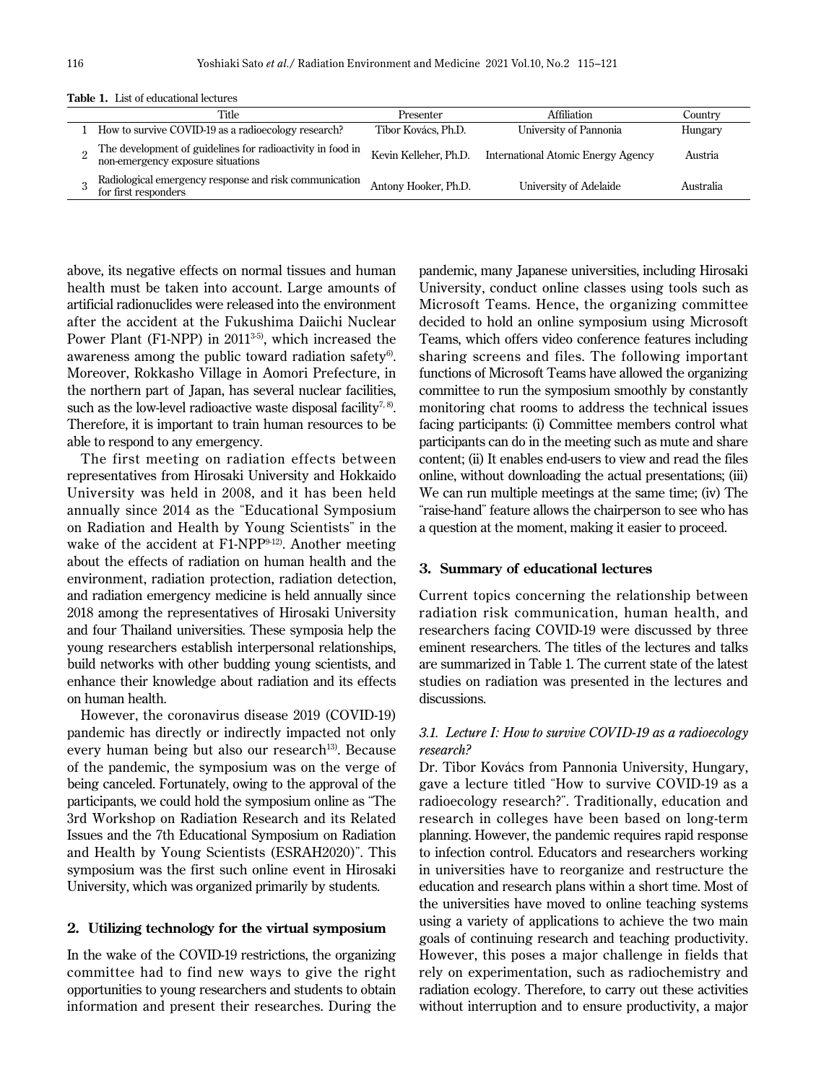| Title                                                                                           | Presenter             | Affiliation                               | Country   |
|-------------------------------------------------------------------------------------------------|-----------------------|-------------------------------------------|-----------|
| How to survive COVID-19 as a radioecology research?                                             | Tibor Kovács, Ph.D.   | University of Pannonia                    | Hungary   |
| The development of guidelines for radioactivity in food in<br>non-emergency exposure situations | Kevin Kelleher, Ph.D. | <b>International Atomic Energy Agency</b> | Austria   |
| Radiological emergency response and risk communication<br>for first responders                  | Antony Hooker, Ph.D.  | University of Adelaide                    | Australia |

**Table 1.** List of educational lectures

above, its negative effects on normal tissues and human health must be taken into account. Large amounts of artificial radionuclides were released into the environment after the accident at the Fukushima Daiichi Nuclear Power Plant (F1-NPP) in 2011<sup>3-5)</sup>, which increased the awareness among the public toward radiation safety $6$ . Moreover, Rokkasho Village in Aomori Prefecture, in the northern part of Japan, has several nuclear facilities, such as the low-level radioactive waste disposal facility<sup>7,8)</sup>. Therefore, it is important to train human resources to be able to respond to any emergency.

The first meeting on radiation effects between representatives from Hirosaki University and Hokkaido University was held in 2008, and it has been held annually since 2014 as the "Educational Symposium on Radiation and Health by Young Scientists" in the wake of the accident at F1-NPP<sup>9-12)</sup>. Another meeting about the effects of radiation on human health and the environment, radiation protection, radiation detection, and radiation emergency medicine is held annually since 2018 among the representatives of Hirosaki University and four Thailand universities. These symposia help the young researchers establish interpersonal relationships, build networks with other budding young scientists, and enhance their knowledge about radiation and its effects on human health.

However, the coronavirus disease 2019 (COVID-19) pandemic has directly or indirectly impacted not only every human being but also our research<sup>13)</sup>. Because of the pandemic, the symposium was on the verge of being canceled. Fortunately, owing to the approval of the participants, we could hold the symposium online as "The 3rd Workshop on Radiation Research and its Related Issues and the 7th Educational Symposium on Radiation and Health by Young Scientists (ESRAH2020)". This symposium was the first such online event in Hirosaki University, which was organized primarily by students.

## **2. Utilizing technology for the virtual symposium**

In the wake of the COVID-19 restrictions, the organizing committee had to find new ways to give the right opportunities to young researchers and students to obtain information and present their researches. During the

pandemic, many Japanese universities, including Hirosaki University, conduct online classes using tools such as Microsoft Teams. Hence, the organizing committee decided to hold an online symposium using Microsoft Teams, which offers video conference features including sharing screens and files. The following important functions of Microsoft Teams have allowed the organizing committee to run the symposium smoothly by constantly monitoring chat rooms to address the technical issues facing participants: (i) Committee members control what participants can do in the meeting such as mute and share content; (ii) It enables end-users to view and read the files online, without downloading the actual presentations; (iii) We can run multiple meetings at the same time; (iv) The "raise-hand" feature allows the chairperson to see who has a question at the moment, making it easier to proceed.

## **3. Summary of educational lectures**

Current topics concerning the relationship between radiation risk communication, human health, and researchers facing COVID-19 were discussed by three eminent researchers. The titles of the lectures and talks are summarized in Table 1. The current state of the latest studies on radiation was presented in the lectures and discussions.

# *3.1. Lecture I: How to survive COVID-19 as a radioecology research?*

Dr. Tibor Kovács from Pannonia University, Hungary, gave a lecture titled "How to survive COVID-19 as a radioecology research?". Traditionally, education and research in colleges have been based on long-term planning. However, the pandemic requires rapid response to infection control. Educators and researchers working in universities have to reorganize and restructure the education and research plans within a short time. Most of the universities have moved to online teaching systems using a variety of applications to achieve the two main goals of continuing research and teaching productivity. However, this poses a major challenge in fields that rely on experimentation, such as radiochemistry and radiation ecology. Therefore, to carry out these activities without interruption and to ensure productivity, a major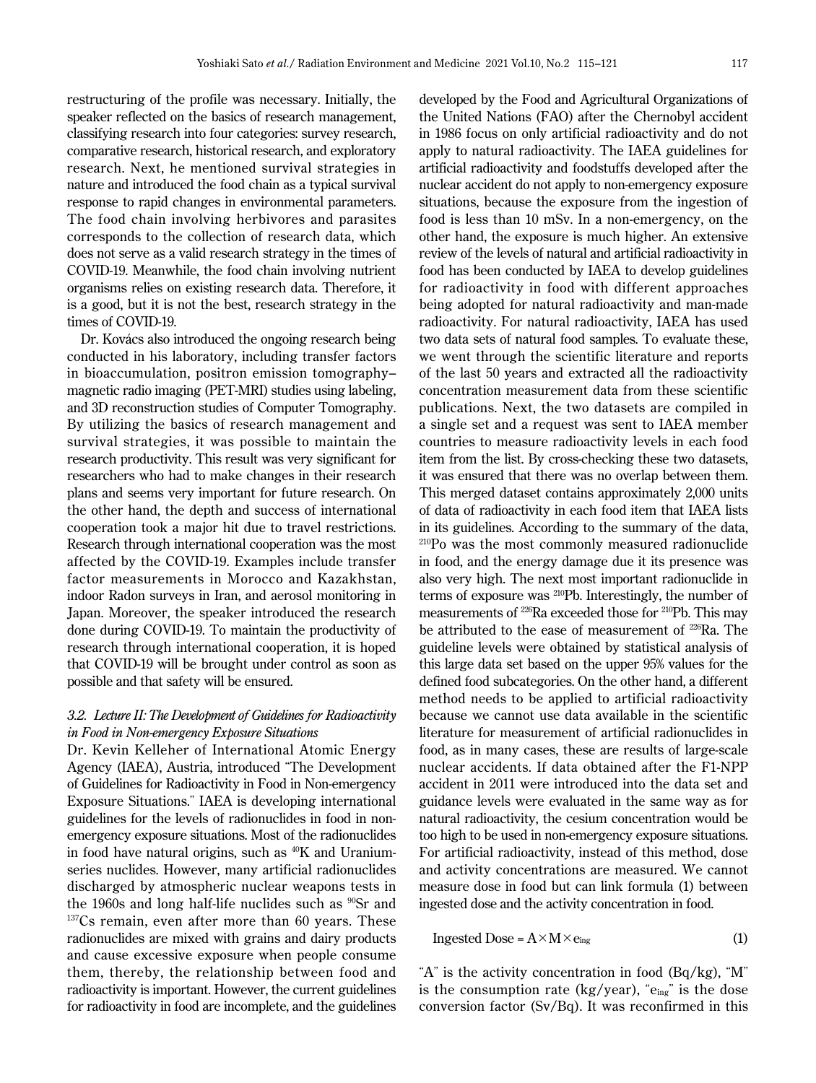restructuring of the profile was necessary. Initially, the speaker reflected on the basics of research management, classifying research into four categories: survey research, comparative research, historical research, and exploratory research. Next, he mentioned survival strategies in nature and introduced the food chain as a typical survival response to rapid changes in environmental parameters. The food chain involving herbivores and parasites corresponds to the collection of research data, which does not serve as a valid research strategy in the times of COVID-19. Meanwhile, the food chain involving nutrient organisms relies on existing research data. Therefore, it is a good, but it is not the best, research strategy in the times of COVID-19.

Dr. Kovács also introduced the ongoing research being conducted in his laboratory, including transfer factors in bioaccumulation, positron emission tomography– magnetic radio imaging (PET-MRI) studies using labeling, and 3D reconstruction studies of Computer Tomography. By utilizing the basics of research management and survival strategies, it was possible to maintain the research productivity. This result was very significant for researchers who had to make changes in their research plans and seems very important for future research. On the other hand, the depth and success of international cooperation took a major hit due to travel restrictions. Research through international cooperation was the most affected by the COVID-19. Examples include transfer factor measurements in Morocco and Kazakhstan, indoor Radon surveys in Iran, and aerosol monitoring in Japan. Moreover, the speaker introduced the research done during COVID-19. To maintain the productivity of research through international cooperation, it is hoped that COVID-19 will be brought under control as soon as possible and that safety will be ensured.

# *3.2. Lecture II: The Development of Guidelines for Radioactivity in Food in Non-emergency Exposure Situations*

Dr. Kevin Kelleher of International Atomic Energy Agency (IAEA), Austria, introduced "The Development of Guidelines for Radioactivity in Food in Non-emergency Exposure Situations." IAEA is developing international guidelines for the levels of radionuclides in food in nonemergency exposure situations. Most of the radionuclides in food have natural origins, such as <sup>40</sup>K and Uraniumseries nuclides. However, many artificial radionuclides discharged by atmospheric nuclear weapons tests in the 1960s and long half-life nuclides such as  $^{90}Sr$  and  $^{137}Cs$  remain, even after more than 60 years. These radionuclides are mixed with grains and dairy products and cause excessive exposure when people consume them, thereby, the relationship between food and radioactivity is important. However, the current guidelines for radioactivity in food are incomplete, and the guidelines

developed by the Food and Agricultural Organizations of the United Nations (FAO) after the Chernobyl accident in 1986 focus on only artificial radioactivity and do not apply to natural radioactivity. The IAEA guidelines for artificial radioactivity and foodstuffs developed after the nuclear accident do not apply to non-emergency exposure situations, because the exposure from the ingestion of food is less than 10 mSv. In a non-emergency, on the other hand, the exposure is much higher. An extensive review of the levels of natural and artificial radioactivity in food has been conducted by IAEA to develop guidelines for radioactivity in food with different approaches being adopted for natural radioactivity and man-made radioactivity. For natural radioactivity, IAEA has used two data sets of natural food samples. To evaluate these, we went through the scientific literature and reports of the last 50 years and extracted all the radioactivity concentration measurement data from these scientific publications. Next, the two datasets are compiled in a single set and a request was sent to IAEA member countries to measure radioactivity levels in each food item from the list. By cross-checking these two datasets, it was ensured that there was no overlap between them. This merged dataset contains approximately 2,000 units of data of radioactivity in each food item that IAEA lists in its guidelines. According to the summary of the data, 210Po was the most commonly measured radionuclide in food, and the energy damage due it its presence was also very high. The next most important radionuclide in terms of exposure was 210Pb. Interestingly, the number of measurements of 226Ra exceeded those for 210Pb. This may be attributed to the ease of measurement of 226Ra. The guideline levels were obtained by statistical analysis of this large data set based on the upper 95% values for the defined food subcategories. On the other hand, a different method needs to be applied to artificial radioactivity because we cannot use data available in the scientific literature for measurement of artificial radionuclides in food, as in many cases, these are results of large-scale nuclear accidents. If data obtained after the F1-NPP accident in 2011 were introduced into the data set and guidance levels were evaluated in the same way as for natural radioactivity, the cesium concentration would be too high to be used in non-emergency exposure situations. For artificial radioactivity, instead of this method, dose and activity concentrations are measured. We cannot measure dose in food but can link formula (1) between ingested dose and the activity concentration in food.

$$
Ingested Does = A \times M \times e_{ing}
$$
 (1)

"A" is the activity concentration in food (Bq/kg), "M" is the consumption rate (kg/year), " $e_{ing}$ " is the dose conversion factor (Sv/Bq). It was reconfirmed in this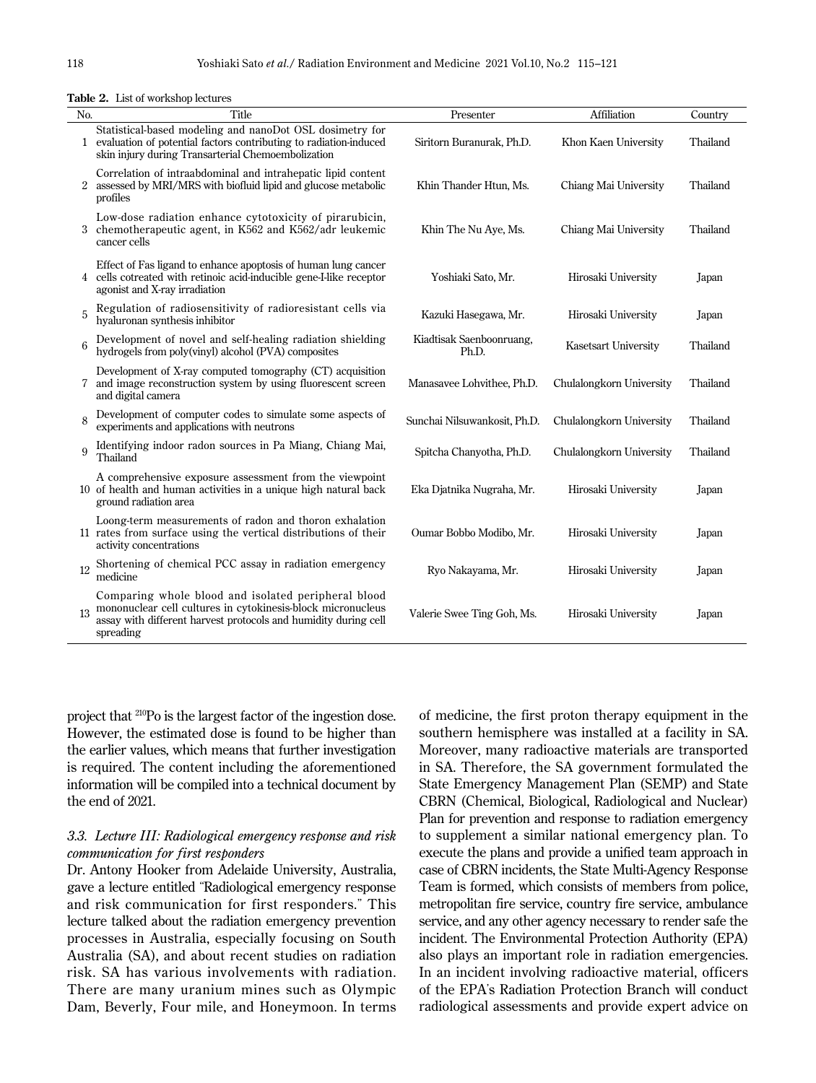| No. | Title                                                                                                                                                                                              | Presenter                         | Affiliation                 | Country  |
|-----|----------------------------------------------------------------------------------------------------------------------------------------------------------------------------------------------------|-----------------------------------|-----------------------------|----------|
|     | Statistical-based modeling and nanoDot OSL dosimetry for<br>evaluation of potential factors contributing to radiation-induced<br>skin injury during Transarterial Chemoembolization                | Siritorn Buranurak, Ph.D.         | Khon Kaen University        | Thailand |
|     | Correlation of intraabdominal and intrahepatic lipid content<br>2 assessed by MRI/MRS with biofluid lipid and glucose metabolic<br>profiles                                                        | Khin Thander Htun, Ms.            | Chiang Mai University       | Thailand |
|     | Low-dose radiation enhance cytotoxicity of pirarubicin,<br>chemotherapeutic agent, in K562 and K562/adr leukemic<br>cancer cells                                                                   | Khin The Nu Aye, Ms.              | Chiang Mai University       | Thailand |
|     | Effect of Fas ligand to enhance apoptosis of human lung cancer<br>4 cells cotreated with retinoic acid-inducible gene-I-like receptor<br>agonist and X-ray irradiation                             | Yoshiaki Sato, Mr.                | Hirosaki University         | Japan    |
| 5   | Regulation of radiosensitivity of radioresistant cells via<br>hyaluronan synthesis inhibitor                                                                                                       | Kazuki Hasegawa, Mr.              | Hirosaki University         | Japan    |
| 6   | Development of novel and self-healing radiation shielding<br>hydrogels from poly(vinyl) alcohol (PVA) composites                                                                                   | Kiadtisak Saenboonruang,<br>Ph.D. | <b>Kasetsart University</b> | Thailand |
| 7   | Development of X-ray computed tomography (CT) acquisition<br>and image reconstruction system by using fluorescent screen<br>and digital camera                                                     | Manasavee Lohvithee, Ph.D.        | Chulalongkorn University    | Thailand |
| 8   | Development of computer codes to simulate some aspects of<br>experiments and applications with neutrons                                                                                            | Sunchai Nilsuwankosit, Ph.D.      | Chulalongkorn University    | Thailand |
| 9   | Identifying indoor radon sources in Pa Miang, Chiang Mai,<br>Thailand                                                                                                                              | Spitcha Chanyotha, Ph.D.          | Chulalongkorn University    | Thailand |
|     | A comprehensive exposure assessment from the viewpoint<br>10 of health and human activities in a unique high natural back<br>ground radiation area                                                 | Eka Djatnika Nugraha, Mr.         | Hirosaki University         | Japan    |
|     | Loong-term measurements of radon and thoron exhalation<br>11 rates from surface using the vertical distributions of their<br>activity concentrations                                               | Oumar Bobbo Modibo, Mr.           | Hirosaki University         | Japan    |
| 12  | Shortening of chemical PCC assay in radiation emergency<br>medicine                                                                                                                                | Ryo Nakayama, Mr.                 | Hirosaki University         | Japan    |
| 13  | Comparing whole blood and isolated peripheral blood<br>mononuclear cell cultures in cytokinesis-block micronucleus<br>assay with different harvest protocols and humidity during cell<br>spreading | Valerie Swee Ting Goh, Ms.        | Hirosaki University         | Japan    |

**Table 2.** List of workshop lectures

project that 210Po is the largest factor of the ingestion dose. However, the estimated dose is found to be higher than the earlier values, which means that further investigation is required. The content including the aforementioned information will be compiled into a technical document by the end of 2021.

## *3.3. Lecture III: Radiological emergency response and risk communication for first responders*

Dr. Antony Hooker from Adelaide University, Australia, gave a lecture entitled "Radiological emergency response and risk communication for first responders." This lecture talked about the radiation emergency prevention processes in Australia, especially focusing on South Australia (SA), and about recent studies on radiation risk. SA has various involvements with radiation. There are many uranium mines such as Olympic Dam, Beverly, Four mile, and Honeymoon. In terms of medicine, the first proton therapy equipment in the southern hemisphere was installed at a facility in SA. Moreover, many radioactive materials are transported in SA. Therefore, the SA government formulated the State Emergency Management Plan (SEMP) and State CBRN (Chemical, Biological, Radiological and Nuclear) Plan for prevention and response to radiation emergency to supplement a similar national emergency plan. To execute the plans and provide a unified team approach in case of CBRN incidents, the State Multi-Agency Response Team is formed, which consists of members from police, metropolitan fire service, country fire service, ambulance service, and any other agency necessary to render safe the incident. The Environmental Protection Authority (EPA) also plays an important role in radiation emergencies. In an incident involving radioactive material, officers of the EPA's Radiation Protection Branch will conduct radiological assessments and provide expert advice on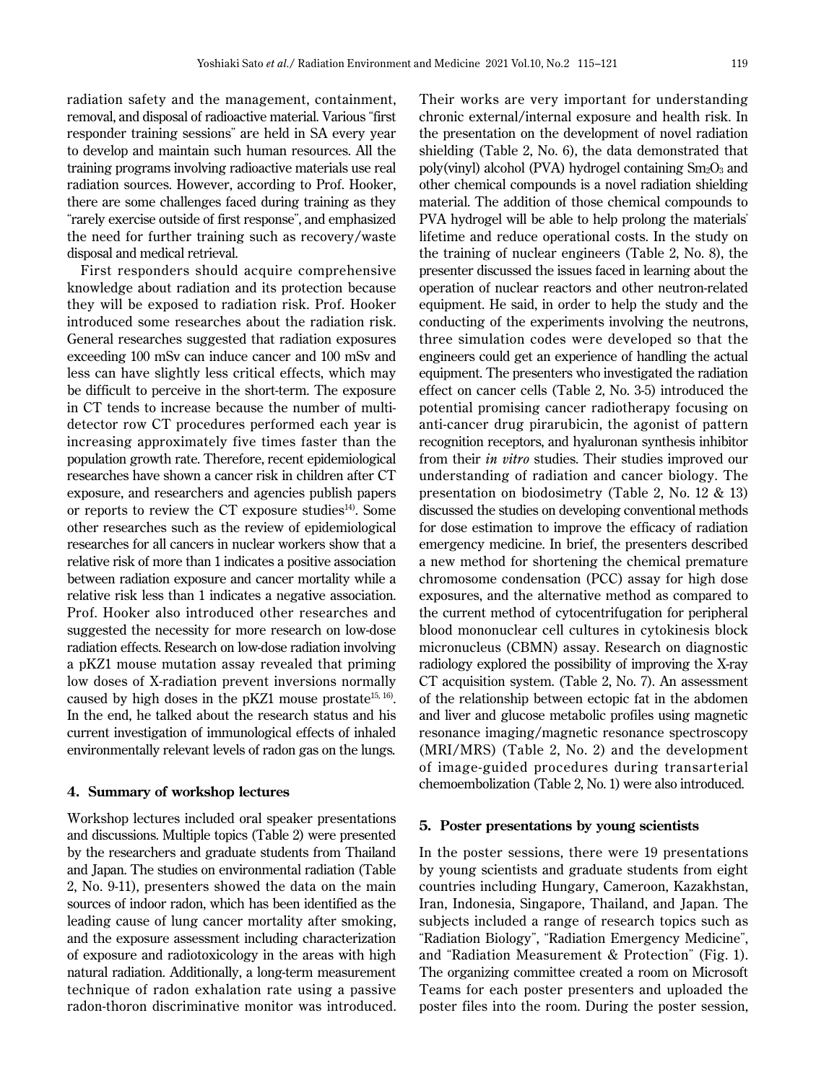radiation safety and the management, containment, removal, and disposal of radioactive material. Various "first responder training sessions" are held in SA every year to develop and maintain such human resources. All the training programs involving radioactive materials use real radiation sources. However, according to Prof. Hooker, there are some challenges faced during training as they "rarely exercise outside of first response", and emphasized the need for further training such as recovery/waste

disposal and medical retrieval. First responders should acquire comprehensive knowledge about radiation and its protection because they will be exposed to radiation risk. Prof. Hooker introduced some researches about the radiation risk. General researches suggested that radiation exposures exceeding 100 mSv can induce cancer and 100 mSv and less can have slightly less critical effects, which may be difficult to perceive in the short-term. The exposure in CT tends to increase because the number of multidetector row CT procedures performed each year is increasing approximately five times faster than the population growth rate. Therefore, recent epidemiological researches have shown a cancer risk in children after CT exposure, and researchers and agencies publish papers or reports to review the CT exposure studies $14$ . Some other researches such as the review of epidemiological researches for all cancers in nuclear workers show that a relative risk of more than 1 indicates a positive association between radiation exposure and cancer mortality while a relative risk less than 1 indicates a negative association. Prof. Hooker also introduced other researches and suggested the necessity for more research on low-dose radiation effects. Research on low-dose radiation involving a pKZ1 mouse mutation assay revealed that priming low doses of X-radiation prevent inversions normally caused by high doses in the pKZ1 mouse prostate<sup>15, 16</sup>. In the end, he talked about the research status and his current investigation of immunological effects of inhaled environmentally relevant levels of radon gas on the lungs.

# **4. Summary of workshop lectures**

Workshop lectures included oral speaker presentations and discussions. Multiple topics (Table 2) were presented by the researchers and graduate students from Thailand and Japan. The studies on environmental radiation (Table 2, No. 9-11), presenters showed the data on the main sources of indoor radon, which has been identified as the leading cause of lung cancer mortality after smoking, and the exposure assessment including characterization of exposure and radiotoxicology in the areas with high natural radiation. Additionally, a long-term measurement technique of radon exhalation rate using a passive radon-thoron discriminative monitor was introduced.

Their works are very important for understanding chronic external/internal exposure and health risk. In the presentation on the development of novel radiation shielding (Table 2, No. 6), the data demonstrated that poly(vinyl) alcohol (PVA) hydrogel containing  $Sm<sub>2</sub>O<sub>3</sub>$  and other chemical compounds is a novel radiation shielding material. The addition of those chemical compounds to PVA hydrogel will be able to help prolong the materials' lifetime and reduce operational costs. In the study on the training of nuclear engineers (Table 2, No. 8), the presenter discussed the issues faced in learning about the operation of nuclear reactors and other neutron-related equipment. He said, in order to help the study and the conducting of the experiments involving the neutrons, three simulation codes were developed so that the engineers could get an experience of handling the actual equipment. The presenters who investigated the radiation effect on cancer cells (Table 2, No. 3-5) introduced the potential promising cancer radiotherapy focusing on anti-cancer drug pirarubicin, the agonist of pattern recognition receptors, and hyaluronan synthesis inhibitor from their *in vitro* studies. Their studies improved our understanding of radiation and cancer biology. The presentation on biodosimetry (Table 2, No. 12 & 13) discussed the studies on developing conventional methods for dose estimation to improve the efficacy of radiation emergency medicine. In brief, the presenters described a new method for shortening the chemical premature chromosome condensation (PCC) assay for high dose exposures, and the alternative method as compared to the current method of cytocentrifugation for peripheral blood mononuclear cell cultures in cytokinesis block micronucleus (CBMN) assay. Research on diagnostic radiology explored the possibility of improving the X-ray CT acquisition system. (Table 2, No. 7). An assessment of the relationship between ectopic fat in the abdomen and liver and glucose metabolic profiles using magnetic resonance imaging/magnetic resonance spectroscopy (MRI/MRS) (Table 2, No. 2) and the development of image-guided procedures during transarterial chemoembolization (Table 2, No. 1) were also introduced.

## **5. Poster presentations by young scientists**

In the poster sessions, there were 19 presentations by young scientists and graduate students from eight countries including Hungary, Cameroon, Kazakhstan, Iran, Indonesia, Singapore, Thailand, and Japan. The subjects included a range of research topics such as "Radiation Biology", "Radiation Emergency Medicine", and "Radiation Measurement & Protection" (Fig. 1). The organizing committee created a room on Microsoft Teams for each poster presenters and uploaded the poster files into the room. During the poster session,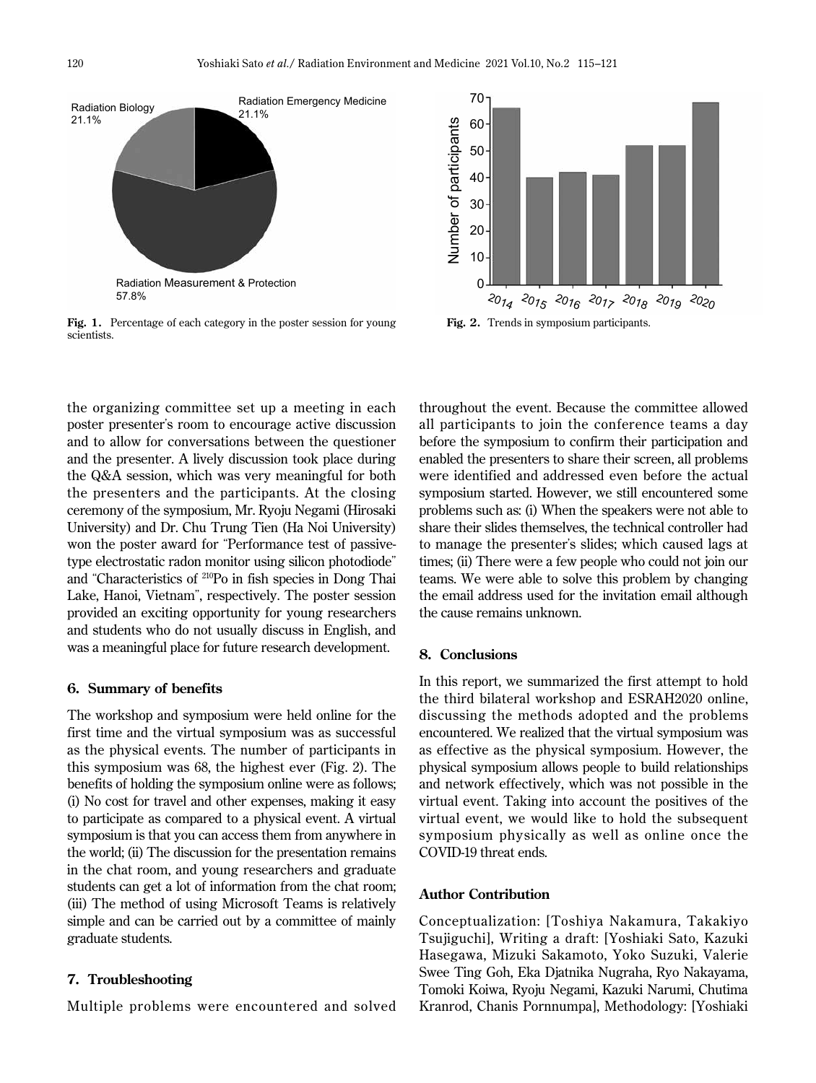

Fig. 1. Percentage of each category in the poster session for young scientists.

the organizing committee set up a meeting in each poster presenter's room to encourage active discussion and to allow for conversations between the questioner and the presenter. A lively discussion took place during the Q&A session, which was very meaningful for both the presenters and the participants. At the closing ceremony of the symposium, Mr. Ryoju Negami (Hirosaki University) and Dr. Chu Trung Tien (Ha Noi University) won the poster award for "Performance test of passivetype electrostatic radon monitor using silicon photodiode" and "Characteristics of 210Po in fish species in Dong Thai Lake, Hanoi, Vietnam", respectively. The poster session provided an exciting opportunity for young researchers and students who do not usually discuss in English, and was a meaningful place for future research development.

### **6. Summary of benefits**

The workshop and symposium were held online for the first time and the virtual symposium was as successful as the physical events. The number of participants in this symposium was 68, the highest ever (Fig. 2). The benefits of holding the symposium online were as follows; (i) No cost for travel and other expenses, making it easy to participate as compared to a physical event. A virtual symposium is that you can access them from anywhere in the world; (ii) The discussion for the presentation remains in the chat room, and young researchers and graduate students can get a lot of information from the chat room; (iii) The method of using Microsoft Teams is relatively simple and can be carried out by a committee of mainly graduate students.

#### **7. Troubleshooting**

Multiple problems were encountered and solved



Fig. 2. Trends in symposium participants.

throughout the event. Because the committee allowed all participants to join the conference teams a day before the symposium to confirm their participation and enabled the presenters to share their screen, all problems were identified and addressed even before the actual symposium started. However, we still encountered some problems such as: (i) When the speakers were not able to share their slides themselves, the technical controller had to manage the presenter's slides; which caused lags at times; (ii) There were a few people who could not join our teams. We were able to solve this problem by changing the email address used for the invitation email although the cause remains unknown.

### **8. Conclusions**

In this report, we summarized the first attempt to hold the third bilateral workshop and ESRAH2020 online, discussing the methods adopted and the problems encountered. We realized that the virtual symposium was as effective as the physical symposium. However, the physical symposium allows people to build relationships and network effectively, which was not possible in the virtual event. Taking into account the positives of the virtual event, we would like to hold the subsequent symposium physically as well as online once the COVID-19 threat ends.

#### **Author Contribution**

Conceptualization: [Toshiya Nakamura, Takakiyo Tsujiguchi], Writing a draft: [Yoshiaki Sato, Kazuki Hasegawa, Mizuki Sakamoto, Yoko Suzuki, Valerie Swee Ting Goh, Eka Djatnika Nugraha, Ryo Nakayama, Tomoki Koiwa, Ryoju Negami, Kazuki Narumi, Chutima Kranrod, Chanis Pornnumpa], Methodology: [Yoshiaki